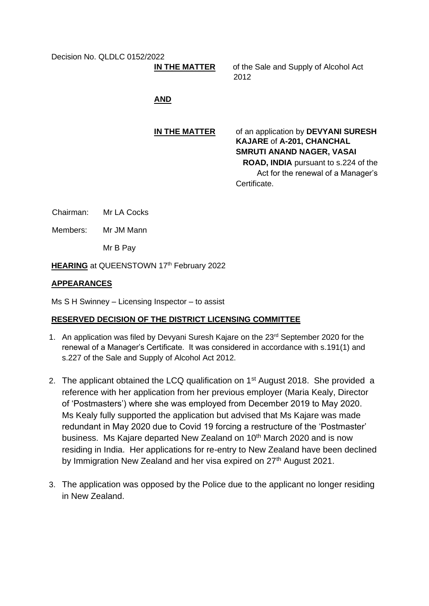Decision No. QLDLC 0152/2022

# **IN THE MATTER**

of the Sale and Supply of Alcohol Act 2012

# **AND**

**IN THE MATTER** of an application by **DEVYANI SURESH KAJARE** of **A-201, CHANCHAL SMRUTI ANAND NAGER, VASAI** 

**ROAD, INDIA** pursuant to s.224 of the Act for the renewal of a Manager's Certificate.

Chairman: Mr LA Cocks

Members: Mr JM Mann

Mr B Pay

**HEARING** at QUEENSTOWN 17<sup>th</sup> February 2022

### **APPEARANCES**

Ms S H Swinney – Licensing Inspector – to assist

# **RESERVED DECISION OF THE DISTRICT LICENSING COMMITTEE**

- 1. An application was filed by Devyani Suresh Kajare on the 23<sup>rd</sup> September 2020 for the renewal of a Manager's Certificate. It was considered in accordance with s.191(1) and s.227 of the Sale and Supply of Alcohol Act 2012.
- 2. The applicant obtained the LCQ qualification on 1<sup>st</sup> August 2018. She provided a reference with her application from her previous employer (Maria Kealy, Director of 'Postmasters') where she was employed from December 2019 to May 2020. Ms Kealy fully supported the application but advised that Ms Kajare was made redundant in May 2020 due to Covid 19 forcing a restructure of the 'Postmaster' business. Ms Kajare departed New Zealand on 10<sup>th</sup> March 2020 and is now residing in India. Her applications for re-entry to New Zealand have been declined by Immigration New Zealand and her visa expired on 27<sup>th</sup> August 2021.
- 3. The application was opposed by the Police due to the applicant no longer residing in New Zealand.